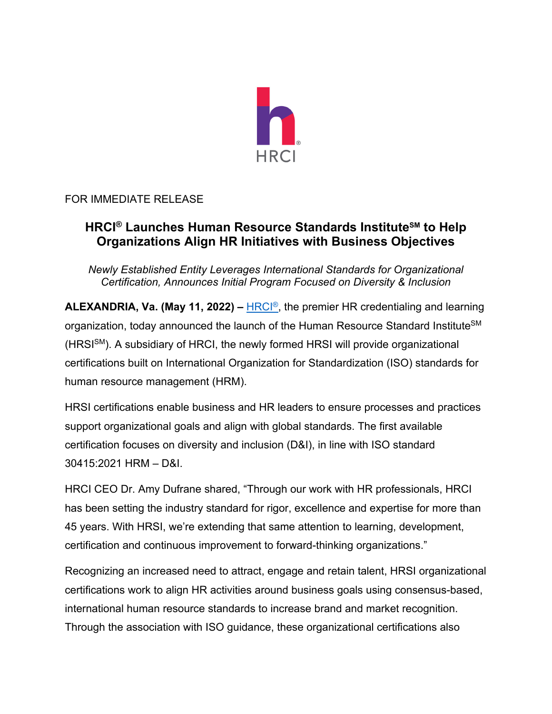

## FOR IMMEDIATE RELEASE

# **HRCI® Launches Human Resource Standards InstituteSM to Help Organizations Align HR Initiatives with Business Objectives**

*Newly Established Entity Leverages International Standards for Organizational Certification, Announces Initial Program Focused on Diversity & Inclusion* 

**ALEXANDRIA, Va. (May 11, 2022) –** [HRCI®,](www.hrci.org) the premier HR credentialing and learning organization, today announced the launch of the Human Resource Standard Institute<sup>SM</sup> (HRSI<sup>SM</sup>). A subsidiary of HRCI, the newly formed HRSI will provide organizational certifications built on International Organization for Standardization (ISO) standards for human resource management (HRM).

HRSI certifications enable business and HR leaders to ensure processes and practices support organizational goals and align with global standards. The first available certification focuses on diversity and inclusion (D&I), in line with ISO standard 30415:2021 HRM – D&I.

HRCI CEO Dr. Amy Dufrane shared, "Through our work with HR professionals, HRCI has been setting the industry standard for rigor, excellence and expertise for more than 45 years. With HRSI, we're extending that same attention to learning, development, certification and continuous improvement to forward-thinking organizations."

Recognizing an increased need to attract, engage and retain talent, HRSI organizational certifications work to align HR activities around business goals using consensus-based, international human resource standards to increase brand and market recognition. Through the association with ISO guidance, these organizational certifications also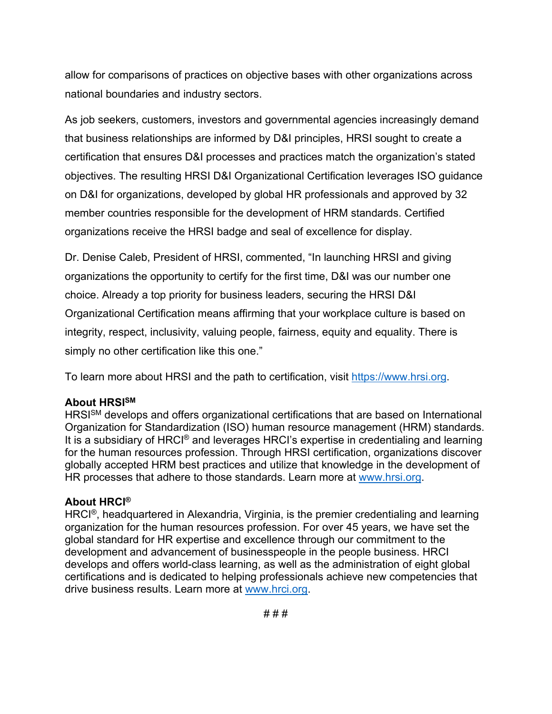allow for comparisons of practices on objective bases with other organizations across national boundaries and industry sectors.

As job seekers, customers, investors and governmental agencies increasingly demand that business relationships are informed by D&I principles, HRSI sought to create a certification that ensures D&I processes and practices match the organization's stated objectives. The resulting HRSI D&I Organizational Certification leverages ISO guidance on D&I for organizations, developed by global HR professionals and approved by 32 member countries responsible for the development of HRM standards. Certified organizations receive the HRSI badge and seal of excellence for display.

Dr. Denise Caleb, President of HRSI, commented, "In launching HRSI and giving organizations the opportunity to certify for the first time, D&I was our number one choice. Already a top priority for business leaders, securing the HRSI D&I Organizational Certification means affirming that your workplace culture is based on integrity, respect, inclusivity, valuing people, fairness, equity and equality. There is simply no other certification like this one."

To learn more about HRSI and the path to certification, visit [https://www.hrsi.org.](www.hrsi.org)

#### **About HRSISM**

HRSI<sup>SM</sup> develops and offers organizational certifications that are based on International Organization for Standardization (ISO) human resource management (HRM) standards. It is a subsidiary of HRCI® and leverages HRCI's expertise in credentialing and learning for the human resources profession. Through HRSI certification, organizations discover globally accepted HRM best practices and utilize that knowledge in the development of HR processes that adhere to those standards. Learn more at [www.hrsi.org.](www.hrsi.org)

### **About HRCI®**

HRCI®, headquartered in Alexandria, Virginia, is the premier credentialing and learning organization for the human resources profession. For over 45 years, we have set the global standard for HR expertise and excellence through our commitment to the development and advancement of businesspeople in the people business. HRCI develops and offers world-class learning, as well as the administration of eight global certifications and is dedicated to helping professionals achieve new competencies that drive business results. Learn more at [www.hrci.org.](www.hrsi.org)